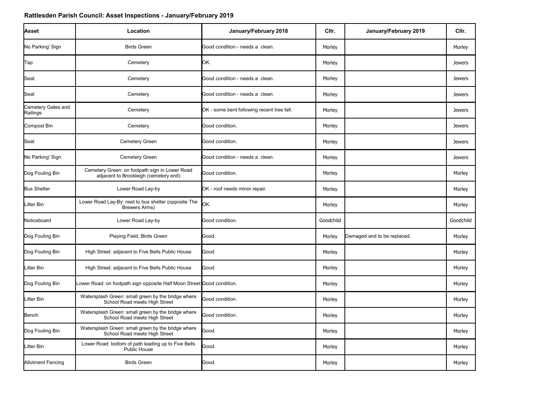| Location                                                                                | January/February 2018                      | CIIr.                                                                  | January/February 2019       | CIIr.         |
|-----------------------------------------------------------------------------------------|--------------------------------------------|------------------------------------------------------------------------|-----------------------------|---------------|
| <b>Birds Green</b>                                                                      | Good condition - needs a clean.            | Morley                                                                 |                             | Morley        |
| Cemetery                                                                                | ЮK.                                        | Morley                                                                 |                             | <b>Jewers</b> |
| Cemetery                                                                                | Good condition - needs a clean.            | Morley                                                                 |                             | <b>Jewers</b> |
| Cemetery                                                                                | Good condition - needs a clean.            | Morley                                                                 |                             | <b>Jewers</b> |
| Cemetery                                                                                | OK - some bent following recent tree fall. | Morley                                                                 |                             | <b>Jewers</b> |
| Cemetery                                                                                | Good condition.                            | Morley                                                                 |                             | <b>Jewers</b> |
| Cemetery Green                                                                          | Good condition.                            | Morley                                                                 |                             | <b>Jewers</b> |
| Cemetery Green                                                                          | Good condition - needs a clean.            | Morley                                                                 |                             | <b>Jewers</b> |
| Cemetery Green: on footpath sign in Lower Road<br>adjacent to Brookleigh (cemetery end) | Good condition.                            | Morley                                                                 |                             | Morley        |
| Lower Road Lay-by                                                                       | OK - roof needs minor repair.              | Morley                                                                 |                             | Morley        |
| Lower Road Lay-By: next to bus shelter (opposite The<br><b>Brewers Arms)</b>            | lОK.                                       | Morley                                                                 |                             | Morley        |
| Lower Road Lay-by                                                                       | Good condition.                            | Goodchild                                                              |                             | Goodchild     |
| Playing Field, Birds Green                                                              | Good.                                      | Morley                                                                 | Damaged and to be replaced. | Morley        |
| High Street: adjacent to Five Bells Public House                                        | Good.                                      | Morley                                                                 |                             | Morley        |
| High Street: adjacent to Five Bells Public House                                        | Good.                                      | Morley                                                                 |                             | Morley        |
|                                                                                         |                                            | Morley                                                                 |                             | Morley        |
| Watersplash Green: small green by the bridge where<br>School Road meets High Street     | Good condition.                            | Morley                                                                 |                             | Morley        |
| Watersplash Green: small green by the bridge where<br>School Road meets High Street     | Good condition.                            | Morley                                                                 |                             | Morley        |
| Watersplash Green: small green by the bridge where<br>School Road meets High Street     | Good.                                      | Morley                                                                 |                             | Morley        |
| Lower Road: bottom of path leading up to Five Bells<br>Public House                     | Good.                                      | Morley                                                                 |                             | Morley        |
| <b>Birds Green</b>                                                                      | Good.                                      | Morley                                                                 |                             | Morley        |
|                                                                                         |                                            | Lower Road: on footpath sign opposite Half Moon Street Good condition. |                             |               |